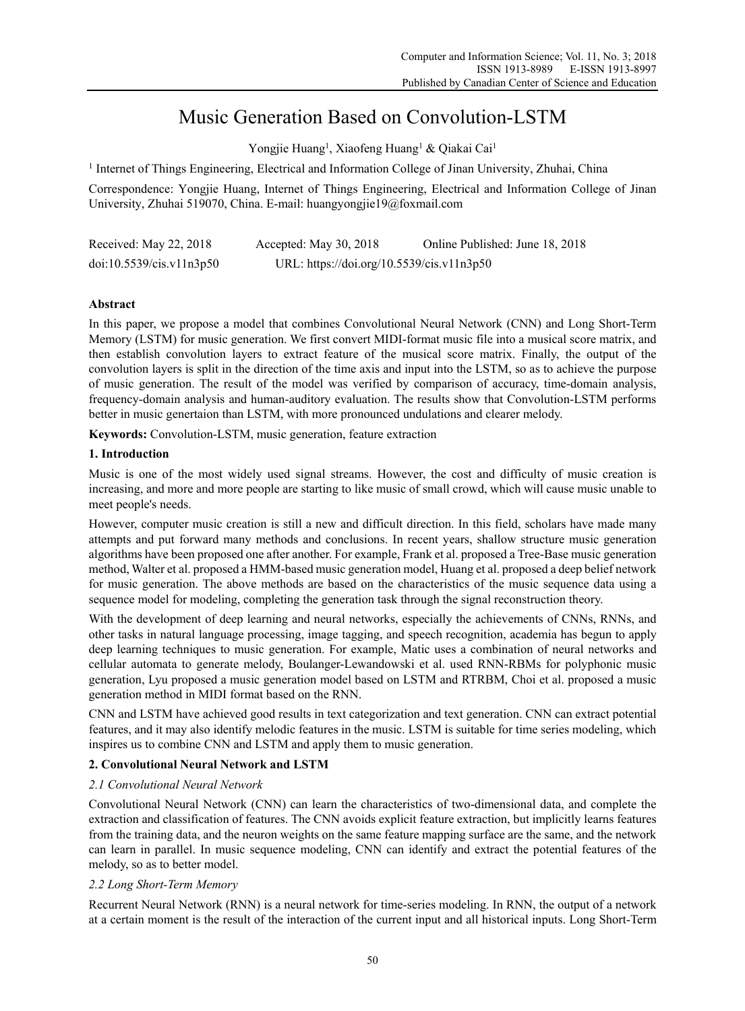# Music Generation Based on Convolution-LSTM

Yongjie Huang<sup>1</sup>, Xiaofeng Huang<sup>1</sup> & Qiakai Cai<sup>1</sup>

<sup>1</sup> Internet of Things Engineering, Electrical and Information College of Jinan University, Zhuhai, China

Correspondence: Yongjie Huang, Internet of Things Engineering, Electrical and Information College of Jinan University, Zhuhai 519070, China. E-mail: huangyongjie19@foxmail.com

| Received: May 22, 2018   | Accepted: May 30, 2018                    | Online Published: June 18, 2018 |
|--------------------------|-------------------------------------------|---------------------------------|
| doi:10.5539/cis.v11n3p50 | URL: https://doi.org/10.5539/cis.v11n3p50 |                                 |

# **Abstract**

In this paper, we propose a model that combines Convolutional Neural Network (CNN) and Long Short-Term Memory (LSTM) for music generation. We first convert MIDI-format music file into a musical score matrix, and then establish convolution layers to extract feature of the musical score matrix. Finally, the output of the convolution layers is split in the direction of the time axis and input into the LSTM, so as to achieve the purpose of music generation. The result of the model was verified by comparison of accuracy, time-domain analysis, frequency-domain analysis and human-auditory evaluation. The results show that Convolution-LSTM performs better in music genertaion than LSTM, with more pronounced undulations and clearer melody.

**Keywords:** Convolution-LSTM, music generation, feature extraction

# **1. Introduction**

Music is one of the most widely used signal streams. However, the cost and difficulty of music creation is increasing, and more and more people are starting to like music of small crowd, which will cause music unable to meet people's needs.

However, computer music creation is still a new and difficult direction. In this field, scholars have made many attempts and put forward many methods and conclusions. In recent years, shallow structure music generation algorithms have been proposed one after another. For example, Frank et al. proposed a Tree-Base music generation method, Walter et al. proposed a HMM-based music generation model, Huang et al. proposed a deep belief network for music generation. The above methods are based on the characteristics of the music sequence data using a sequence model for modeling, completing the generation task through the signal reconstruction theory.

With the development of deep learning and neural networks, especially the achievements of CNNs, RNNs, and other tasks in natural language processing, image tagging, and speech recognition, academia has begun to apply deep learning techniques to music generation. For example, Matic uses a combination of neural networks and cellular automata to generate melody, Boulanger-Lewandowski et al. used RNN-RBMs for polyphonic music generation, Lyu proposed a music generation model based on LSTM and RTRBM, Choi et al. proposed a music generation method in MIDI format based on the RNN.

CNN and LSTM have achieved good results in text categorization and text generation. CNN can extract potential features, and it may also identify melodic features in the music. LSTM is suitable for time series modeling, which inspires us to combine CNN and LSTM and apply them to music generation.

# **2. Convolutional Neural Network and LSTM**

# *2.1 Convolutional Neural Network*

Convolutional Neural Network (CNN) can learn the characteristics of two-dimensional data, and complete the extraction and classification of features. The CNN avoids explicit feature extraction, but implicitly learns features from the training data, and the neuron weights on the same feature mapping surface are the same, and the network can learn in parallel. In music sequence modeling, CNN can identify and extract the potential features of the melody, so as to better model.

# *2.2 Long Short-Term Memory*

Recurrent Neural Network (RNN) is a neural network for time-series modeling. In RNN, the output of a network at a certain moment is the result of the interaction of the current input and all historical inputs. Long Short-Term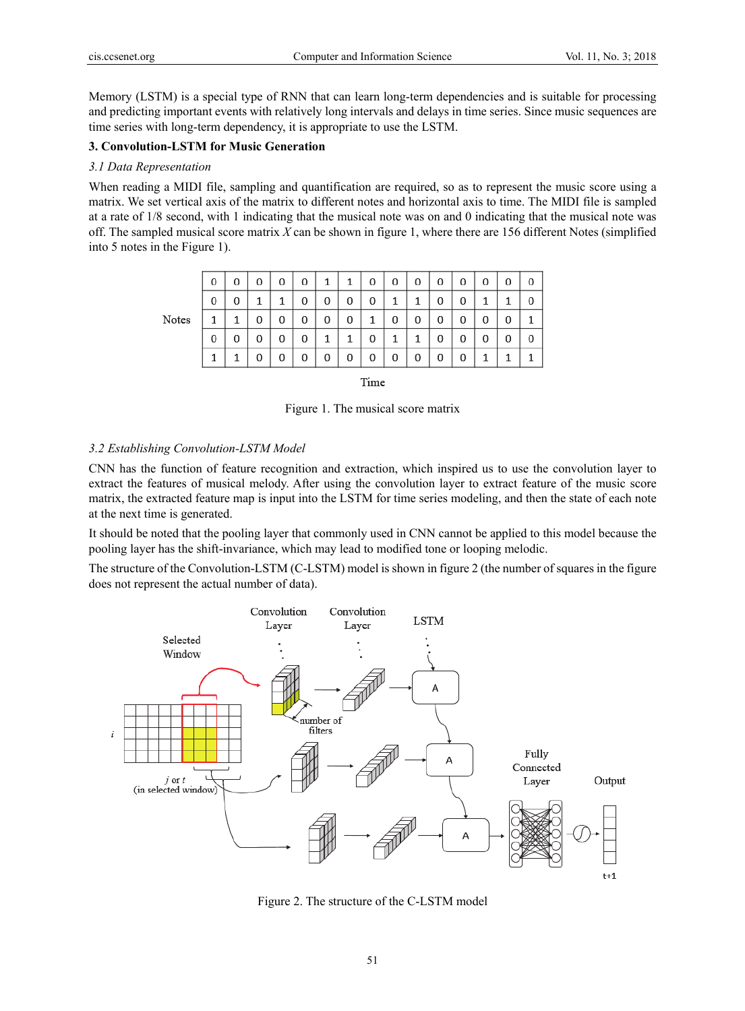Memory (LSTM) is a special type of RNN that can learn long-term dependencies and is suitable for processing and predicting important events with relatively long intervals and delays in time series. Since music sequences are time series with long-term dependency, it is appropriate to use the LSTM.

## **3. Convolution-LSTM for Music Generation**

# *3.1 Data Representation*

When reading a MIDI file, sampling and quantification are required, so as to represent the music score using a matrix. We set vertical axis of the matrix to different notes and horizontal axis to time. The MIDI file is sampled at a rate of 1/8 second, with 1 indicating that the musical note was on and 0 indicating that the musical note was off. The sampled musical score matrix *X* can be shown in figure 1, where there are 156 different Notes (simplified into 5 notes in the Figure 1).

|       | 0 | 0 | 0 | 0 | 0 | 1 |   | 0 | 0 | 0 | 0 | 0 | 0 | 0 | 0 |
|-------|---|---|---|---|---|---|---|---|---|---|---|---|---|---|---|
|       | 0 | 0 |   |   | 0 | 0 | 0 | 0 | 1 |   | 0 | 0 | 1 |   | 0 |
| Notes |   |   | 0 | 0 | 0 | 0 | 0 |   | 0 | 0 | 0 | 0 | 0 | 0 | 1 |
|       | 0 | 0 | 0 | 0 | 0 | 1 |   | 0 | 1 |   | 0 | 0 | 0 | 0 | 0 |
|       |   | 1 | 0 | 0 | 0 | 0 | 0 | 0 | 0 | 0 | 0 | 0 | 1 |   | 1 |

Time

Figure 1. The musical score matrix

#### *3.2 Establishing Convolution-LSTM Model*

CNN has the function of feature recognition and extraction, which inspired us to use the convolution layer to extract the features of musical melody. After using the convolution layer to extract feature of the music score matrix, the extracted feature map is input into the LSTM for time series modeling, and then the state of each note at the next time is generated.

It should be noted that the pooling layer that commonly used in CNN cannot be applied to this model because the pooling layer has the shift-invariance, which may lead to modified tone or looping melodic.

The structure of the Convolution-LSTM (C-LSTM) model is shown in figure 2 (the number of squares in the figure does not represent the actual number of data).



Figure 2. The structure of the C-LSTM model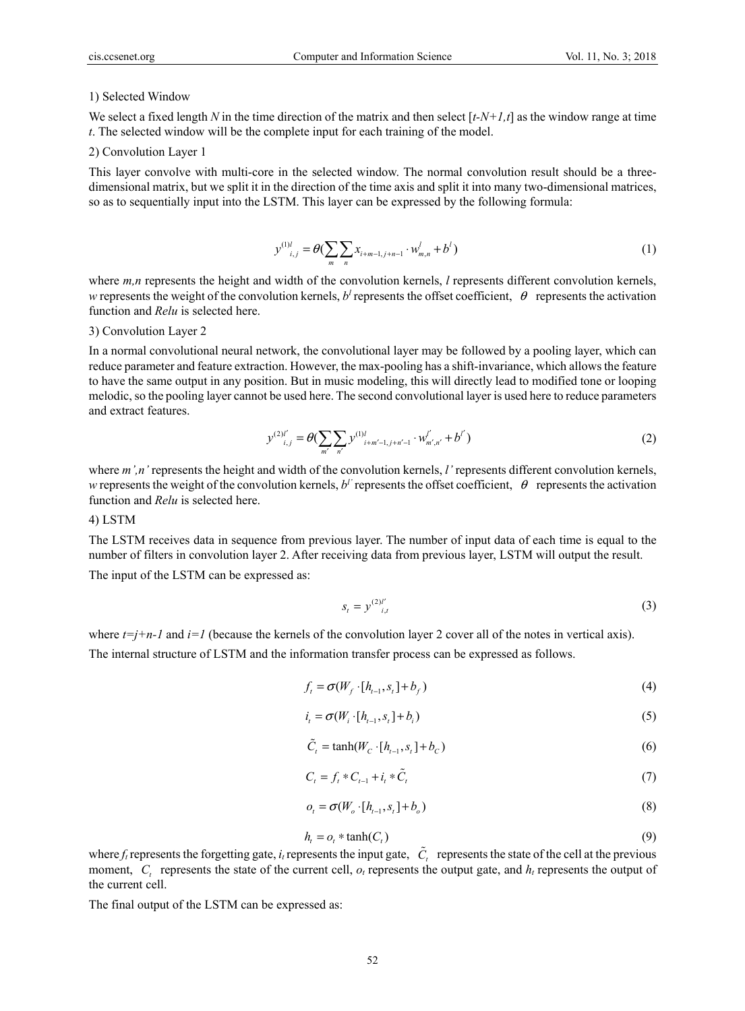#### 1) Selected Window

We select a fixed length N in the time direction of the matrix and then select  $[t-N+1,t]$  as the window range at time *t*. The selected window will be the complete input for each training of the model.

#### 2) Convolution Layer 1

This layer convolve with multi-core in the selected window. The normal convolution result should be a threedimensional matrix, but we split it in the direction of the time axis and split it into many two-dimensional matrices, so as to sequentially input into the LSTM. This layer can be expressed by the following formula:

$$
y^{(1)l}_{i,j} = \theta(\sum_{m} \sum_{n} x_{i+m-1,j+n-1} \cdot w_{m,n}^l + b^l)
$$
 (1)

where  $m,n$  represents the height and width of the convolution kernels, *l* represents different convolution kernels, *w* represents the weight of the convolution kernels,  $b^l$  represents the offset coefficient,  $\theta$  represents the activation function and *Relu* is selected here.

#### 3) Convolution Layer 2

In a normal convolutional neural network, the convolutional layer may be followed by a pooling layer, which can reduce parameter and feature extraction. However, the max-pooling has a shift-invariance, which allows the feature to have the same output in any position. But in music modeling, this will directly lead to modified tone or looping melodic, so the pooling layer cannot be used here. The second convolutional layer is used here to reduce parameters and extract features.

$$
y^{(2)l'}_{i,j} = \theta(\sum_{m'} \sum_{n'} y^{(1)l}_{i+m'-1,j+n'-1} \cdot w^{l'}_{m',n'} + b^{l'})
$$
 (2)

where *m',n'* represents the height and width of the convolution kernels, *l'* represents different convolution kernels, *w* represents the weight of the convolution kernels,  $b^{\prime}$  represents the offset coefficient,  $\theta$  represents the activation function and *Relu* is selected here.

#### 4) LSTM

The LSTM receives data in sequence from previous layer. The number of input data of each time is equal to the number of filters in convolution layer 2. After receiving data from previous layer, LSTM will output the result.

The input of the LSTM can be expressed as:

$$
s_t = y^{(2)l'}_{i,t}
$$
 (3)

where  $t=j+n-1$  and  $i=1$  (because the kernels of the convolution layer 2 cover all of the notes in vertical axis).

The internal structure of LSTM and the information transfer process can be expressed as follows.

$$
f_t = \sigma(W_f \cdot [h_{t-1}, s_t] + b_f)
$$
\n<sup>(4)</sup>

$$
i_{t} = \sigma(W_{i} \cdot [h_{t-1}, s_{t}] + b_{i})
$$
\n(5)

$$
\tilde{C}_i = \tanh(W_C \cdot [h_{i-1}, s_i] + b_C) \tag{6}
$$

$$
C_t = f_t * C_{t-1} + i_t * \tilde{C}_t \tag{7}
$$

$$
o_t = \sigma(W_o \cdot [h_{t-1}, s_t] + b_o)
$$
\n
$$
(8)
$$

$$
h_t = o_t * \tanh(C_t) \tag{9}
$$

where  $f_t$  represents the forgetting gate,  $i_t$  represents the input gate,  $\tilde{C}_t$  represents the state of the cell at the previous moment,  $C_t$  represents the state of the current cell,  $o_t$  represents the output gate, and  $h_t$  represents the output of the current cell.

The final output of the LSTM can be expressed as: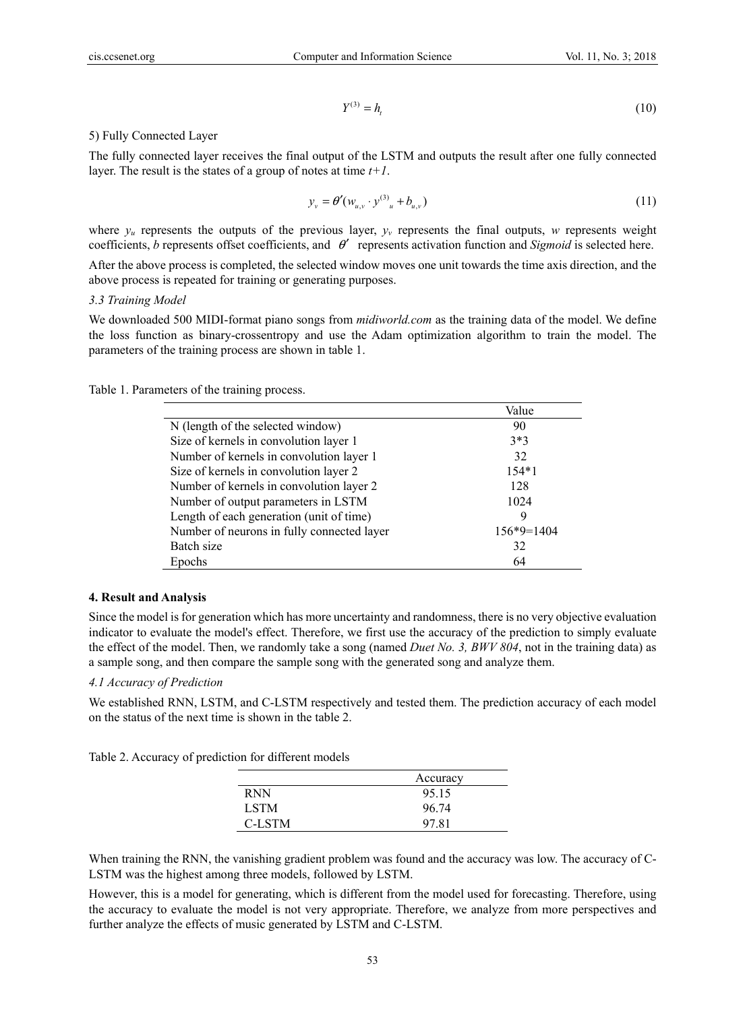$$
Y^{(3)} = h_t \tag{10}
$$

5) Fully Connected Layer

The fully connected layer receives the final output of the LSTM and outputs the result after one fully connected layer. The result is the states of a group of notes at time *t+1*.

$$
y_{v} = \theta'(w_{u,v} \cdot y^{(3)}) + b_{u,v}
$$
 (11)

where  $y_u$  represents the outputs of the previous layer,  $y_v$  represents the final outputs,  $w$  represents weight coefficients, *b* represents offset coefficients, and θ′ represents activation function and *Sigmoid* is selected here.

After the above process is completed, the selected window moves one unit towards the time axis direction, and the above process is repeated for training or generating purposes.

#### *3.3 Training Model*

We downloaded 500 MIDI-format piano songs from *midiworld.com* as the training data of the model. We define the loss function as binary-crossentropy and use the Adam optimization algorithm to train the model. The parameters of the training process are shown in table 1.

Table 1. Parameters of the training process.

| Value                                                      |  |
|------------------------------------------------------------|--|
| N (length of the selected window)<br>90                    |  |
| Size of kernels in convolution layer 1<br>$3*3$            |  |
| Number of kernels in convolution layer 1<br>32             |  |
| Size of kernels in convolution layer 2<br>$154*1$          |  |
| Number of kernels in convolution layer 2<br>128            |  |
| Number of output parameters in LSTM<br>1024                |  |
| Length of each generation (unit of time)<br>9              |  |
| Number of neurons in fully connected layer<br>$156*9=1404$ |  |
| Batch size<br>32                                           |  |
| Epochs<br>64                                               |  |

# **4. Result and Analysis**

Since the model is for generation which has more uncertainty and randomness, there is no very objective evaluation indicator to evaluate the model's effect. Therefore, we first use the accuracy of the prediction to simply evaluate the effect of the model. Then, we randomly take a song (named *Duet No. 3, BWV 804*, not in the training data) as a sample song, and then compare the sample song with the generated song and analyze them.

# *4.1 Accuracy of Prediction*

We established RNN, LSTM, and C-LSTM respectively and tested them. The prediction accuracy of each model on the status of the next time is shown in the table 2.

| Table 2. Accuracy of prediction for different models |  |  |  |  |  |
|------------------------------------------------------|--|--|--|--|--|
|------------------------------------------------------|--|--|--|--|--|

|             | Accuracy |  |  |  |
|-------------|----------|--|--|--|
| <b>RNN</b>  | 95.15    |  |  |  |
| <b>LSTM</b> | 96.74    |  |  |  |
| C-LSTM      | 97.81    |  |  |  |

When training the RNN, the vanishing gradient problem was found and the accuracy was low. The accuracy of C-LSTM was the highest among three models, followed by LSTM.

However, this is a model for generating, which is different from the model used for forecasting. Therefore, using the accuracy to evaluate the model is not very appropriate. Therefore, we analyze from more perspectives and further analyze the effects of music generated by LSTM and C-LSTM.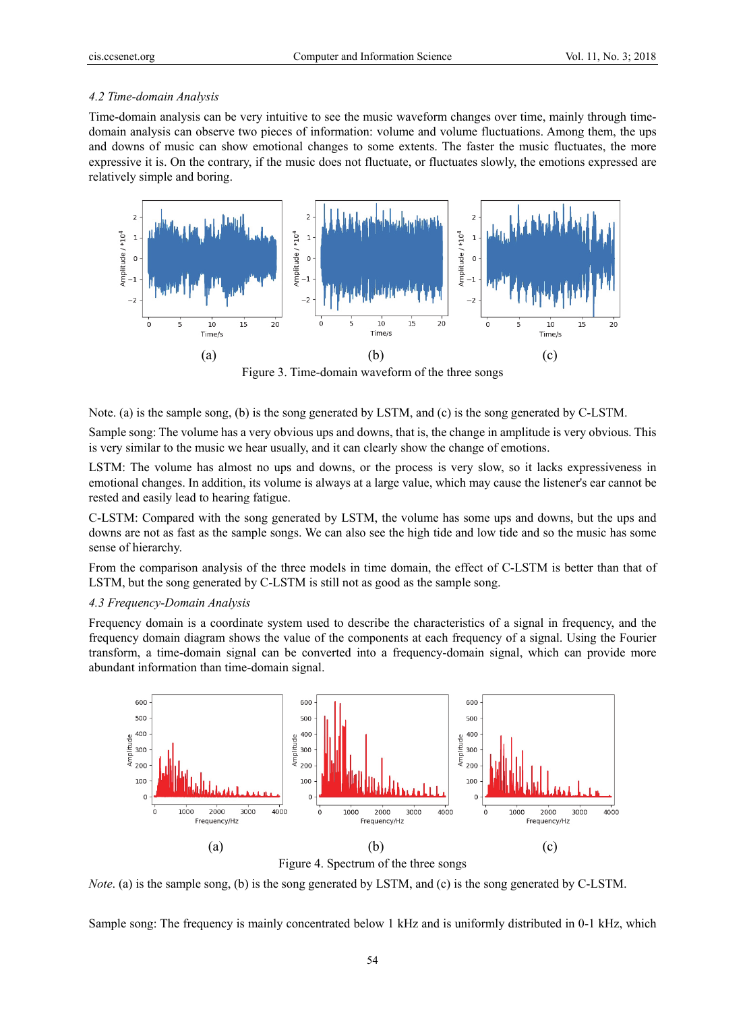#### *4.2 Time-domain Analysis*

Time-domain analysis can be very intuitive to see the music waveform changes over time, mainly through timedomain analysis can observe two pieces of information: volume and volume fluctuations. Among them, the ups and downs of music can show emotional changes to some extents. The faster the music fluctuates, the more expressive it is. On the contrary, if the music does not fluctuate, or fluctuates slowly, the emotions expressed are relatively simple and boring.



Figure 3. Time-domain waveform of the three songs

Note. (a) is the sample song, (b) is the song generated by LSTM, and (c) is the song generated by C-LSTM.

Sample song: The volume has a very obvious ups and downs, that is, the change in amplitude is very obvious. This is very similar to the music we hear usually, and it can clearly show the change of emotions.

LSTM: The volume has almost no ups and downs, or the process is very slow, so it lacks expressiveness in emotional changes. In addition, its volume is always at a large value, which may cause the listener's ear cannot be rested and easily lead to hearing fatigue.

C-LSTM: Compared with the song generated by LSTM, the volume has some ups and downs, but the ups and downs are not as fast as the sample songs. We can also see the high tide and low tide and so the music has some sense of hierarchy.

From the comparison analysis of the three models in time domain, the effect of C-LSTM is better than that of LSTM, but the song generated by C-LSTM is still not as good as the sample song.

#### *4.3 Frequency-Domain Analysis*

Frequency domain is a coordinate system used to describe the characteristics of a signal in frequency, and the frequency domain diagram shows the value of the components at each frequency of a signal. Using the Fourier transform, a time-domain signal can be converted into a frequency-domain signal, which can provide more abundant information than time-domain signal.



Figure 4. Spectrum of the three songs

*Note*. (a) is the sample song, (b) is the song generated by LSTM, and (c) is the song generated by C-LSTM.

Sample song: The frequency is mainly concentrated below 1 kHz and is uniformly distributed in 0-1 kHz, which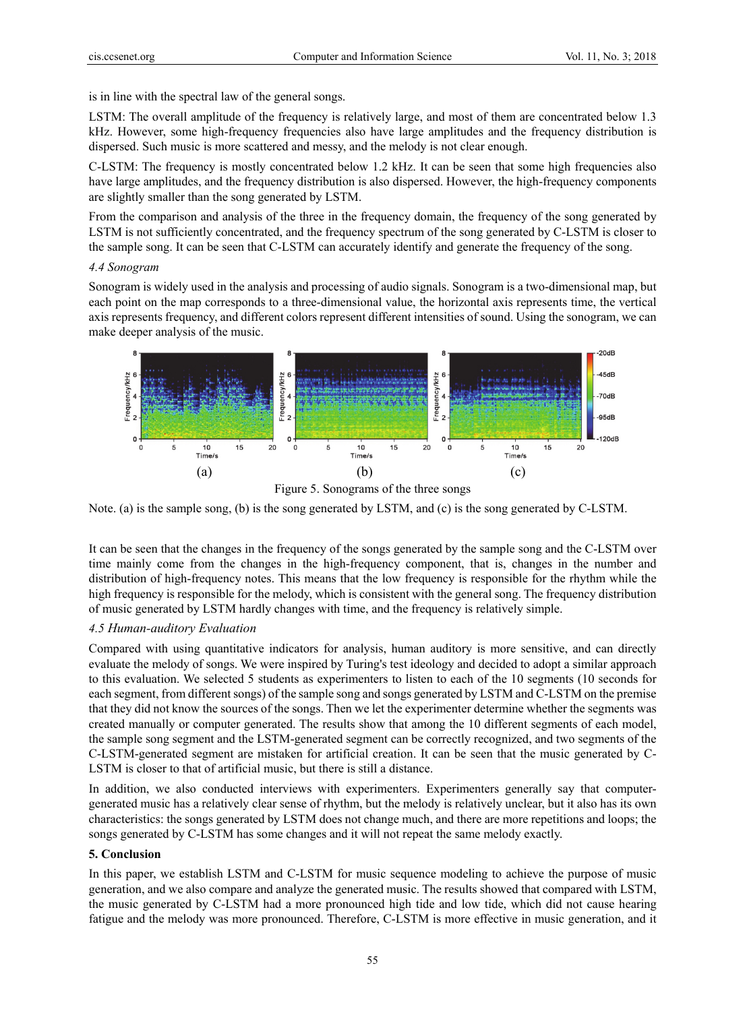is in line with the spectral law of the general songs.

LSTM: The overall amplitude of the frequency is relatively large, and most of them are concentrated below 1.3 kHz. However, some high-frequency frequencies also have large amplitudes and the frequency distribution is dispersed. Such music is more scattered and messy, and the melody is not clear enough.

C-LSTM: The frequency is mostly concentrated below 1.2 kHz. It can be seen that some high frequencies also have large amplitudes, and the frequency distribution is also dispersed. However, the high-frequency components are slightly smaller than the song generated by LSTM.

From the comparison and analysis of the three in the frequency domain, the frequency of the song generated by LSTM is not sufficiently concentrated, and the frequency spectrum of the song generated by C-LSTM is closer to the sample song. It can be seen that C-LSTM can accurately identify and generate the frequency of the song.

#### *4.4 Sonogram*

Sonogram is widely used in the analysis and processing of audio signals. Sonogram is a two-dimensional map, but each point on the map corresponds to a three-dimensional value, the horizontal axis represents time, the vertical axis represents frequency, and different colors represent different intensities of sound. Using the sonogram, we can make deeper analysis of the music.



Figure 5. Sonograms of the three songs

Note. (a) is the sample song, (b) is the song generated by LSTM, and (c) is the song generated by C-LSTM.

It can be seen that the changes in the frequency of the songs generated by the sample song and the C-LSTM over time mainly come from the changes in the high-frequency component, that is, changes in the number and distribution of high-frequency notes. This means that the low frequency is responsible for the rhythm while the high frequency is responsible for the melody, which is consistent with the general song. The frequency distribution of music generated by LSTM hardly changes with time, and the frequency is relatively simple.

# *4.5 Human-auditory Evaluation*

Compared with using quantitative indicators for analysis, human auditory is more sensitive, and can directly evaluate the melody of songs. We were inspired by Turing's test ideology and decided to adopt a similar approach to this evaluation. We selected 5 students as experimenters to listen to each of the 10 segments (10 seconds for each segment, from different songs) of the sample song and songs generated by LSTM and C-LSTM on the premise that they did not know the sources of the songs. Then we let the experimenter determine whether the segments was created manually or computer generated. The results show that among the 10 different segments of each model, the sample song segment and the LSTM-generated segment can be correctly recognized, and two segments of the C-LSTM-generated segment are mistaken for artificial creation. It can be seen that the music generated by C-LSTM is closer to that of artificial music, but there is still a distance.

In addition, we also conducted interviews with experimenters. Experimenters generally say that computergenerated music has a relatively clear sense of rhythm, but the melody is relatively unclear, but it also has its own characteristics: the songs generated by LSTM does not change much, and there are more repetitions and loops; the songs generated by C-LSTM has some changes and it will not repeat the same melody exactly.

# **5. Conclusion**

In this paper, we establish LSTM and C-LSTM for music sequence modeling to achieve the purpose of music generation, and we also compare and analyze the generated music. The results showed that compared with LSTM, the music generated by C-LSTM had a more pronounced high tide and low tide, which did not cause hearing fatigue and the melody was more pronounced. Therefore, C-LSTM is more effective in music generation, and it